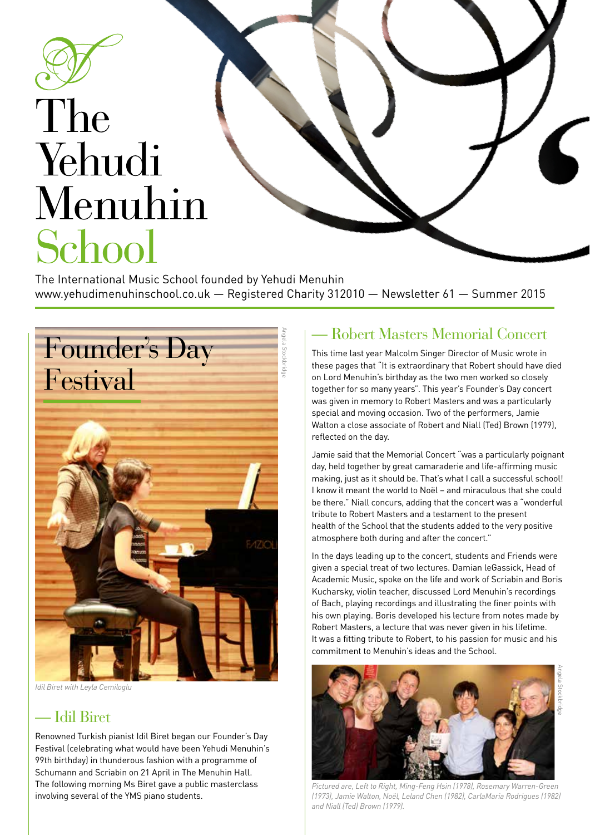

# The Yehudi Menuhin School

The International Music School founded by Yehudi Menuhin www.yehudimenuhinschool.co.uk — Registered Charity 312010 — Newsletter 61 — Summer 2015



*Idil Biret with Leyla Cemiloglu*

#### — Idil Biret

Renowned Turkish pianist Idil Biret began our Founder's Day Festival (celebrating what would have been Yehudi Menuhin's 99th birthday) in thunderous fashion with a programme of Schumann and Scriabin on 21 April in The Menuhin Hall. The following morning Ms Biret gave a public masterclass involving several of the YMS piano students.

#### — Robert Masters Memorial Concert

This time last year Malcolm Singer Director of Music wrote in these pages that "It is extraordinary that Robert should have died on Lord Menuhin's birthday as the two men worked so closely together for so many years". This year's Founder's Day concert was given in memory to Robert Masters and was a particularly special and moving occasion. Two of the performers, Jamie Walton a close associate of Robert and Niall (Ted) Brown (1979), reflected on the day.

Jamie said that the Memorial Concert "was a particularly poignant day, held together by great camaraderie and life-affirming music making, just as it should be. That's what I call a successful school! I know it meant the world to Noël – and miraculous that she could be there." Niall concurs, adding that the concert was a "wonderful tribute to Robert Masters and a testament to the present health of the School that the students added to the very positive atmosphere both during and after the concert."

In the days leading up to the concert, students and Friends were given a special treat of two lectures. Damian leGassick, Head of Academic Music, spoke on the life and work of Scriabin and Boris Kucharsky, violin teacher, discussed Lord Menuhin's recordings of Bach, playing recordings and illustrating the finer points with his own playing. Boris developed his lecture from notes made by Robert Masters, a lecture that was never given in his lifetime. It was a fitting tribute to Robert, to his passion for music and his commitment to Menuhin's ideas and the School.

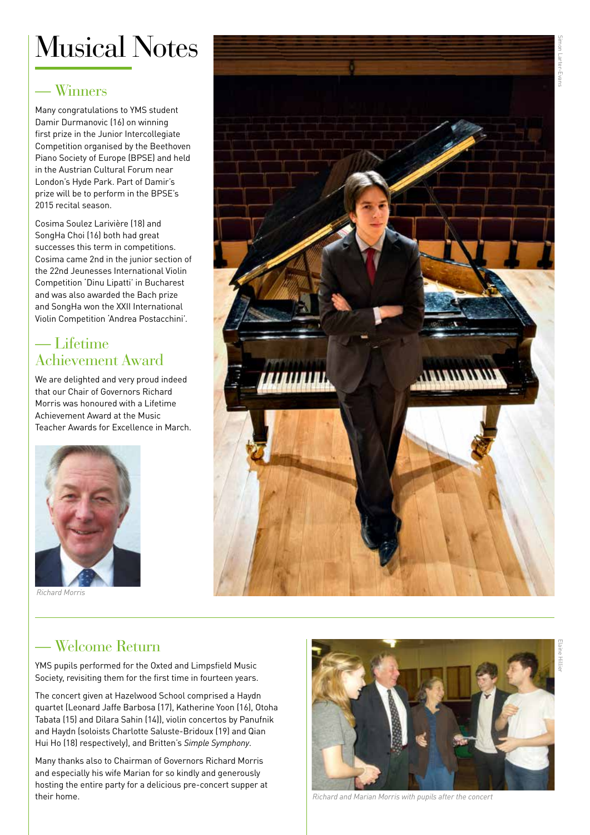### Musical Notes

#### — Winners

Many congratulations to YMS student Damir Durmanovic (16) on winning first prize in the Junior Intercollegiate Competition organised by the Beethoven Piano Society of Europe (BPSE) and held in the Austrian Cultural Forum near London's Hyde Park. Part of Damir's prize will be to perform in the BPSE's 2015 recital season.

Cosima Soulez Larivière (18) and SongHa Choi (16) both had great successes this term in competitions. Cosima came 2nd in the junior section of the 22nd Jeunesses International Violin Competition 'Dinu Lipatti' in Bucharest and was also awarded the Bach prize and SongHa won the XXII International Violin Competition 'Andrea Postacchini'.

#### — Lifetime Achievement Award

We are delighted and very proud indeed that our Chair of Governors Richard Morris was honoured with a Lifetime Achievement Award at the Music Teacher Awards for Excellence in March.



*Richard Morris*



### — Welcome Return

YMS pupils performed for the Oxted and Limpsfield Music Society, revisiting them for the first time in fourteen years.

The concert given at Hazelwood School comprised a Haydn quartet (Leonard Jaffe Barbosa (17), Katherine Yoon (16), Otoha Tabata (15) and Dilara Sahin (14)), violin concertos by Panufnik and Haydn (soloists Charlotte Saluste-Bridoux (19) and Qian Hui Ho (18) respectively), and Britten's *Simple Symphony*.

Many thanks also to Chairman of Governors Richard Morris and especially his wife Marian for so kindly and generously hosting the entire party for a delicious pre-concert supper at their home.



*Richard and Marian Morris with pupils after the concert*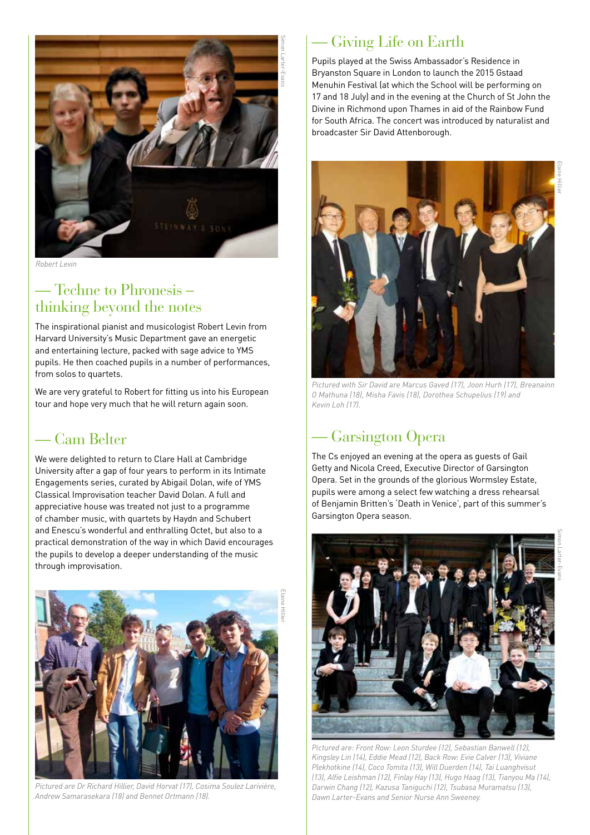

*Robert Levin*

#### — Techne to Phronesis – thinking beyond the notes

The inspirational pianist and musicologist Robert Levin from Harvard University's Music Department gave an energetic and entertaining lecture, packed with sage advice to YMS pupils. He then coached pupils in a number of performances, from solos to quartets.

We are very grateful to Robert for fitting us into his European tour and hope very much that he will return again soon.

#### — Cam Belter

We were delighted to return to Clare Hall at Cambridge University after a gap of four years to perform in its Intimate Engagements series, curated by Abigail Dolan, wife of YMS Classical Improvisation teacher David Dolan. A full and appreciative house was treated not just to a programme of chamber music, with quartets by Haydn and Schubert and Enescu's wonderful and enthralling Octet, but also to a practical demonstration of the way in which David encourages the pupils to develop a deeper understanding of the music through improvisation.



*Pictured are Dr Richard Hillier, David Horvat (17), Cosima Soulez Larivière, Andrew Samarasekara (18) and Bennet Ortmann (18).* 

#### — Giving Life on Earth

Pupils played at the Swiss Ambassador's Residence in Bryanston Square in London to launch the 2015 Gstaad Menuhin Festival (at which the School will be performing on 17 and 18 July) and in the evening at the Church of St John the Divine in Richmond upon Thames in aid of the Rainbow Fund for South Africa. The concert was introduced by naturalist and broadcaster Sir David Attenborough.



*Pictured with Sir David are Marcus Gaved (17), Joon Hurh (17), Breanainn O Mathuna (18), Misha Favis (18), Dorothea Schupelius (19) and Kevin Loh (17).* 

#### — Garsington Opera

The Cs enjoyed an evening at the opera as guests of Gail Getty and Nicola Creed, Executive Director of Garsington Opera. Set in the grounds of the glorious Wormsley Estate, pupils were among a select few watching a dress rehearsal of Benjamin Britten's 'Death in Venice', part of this summer's Garsington Opera season.

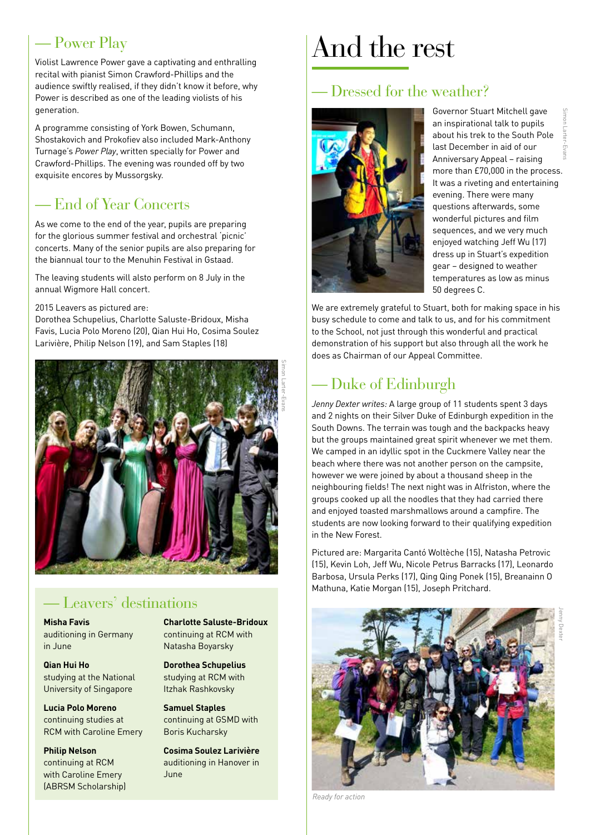#### — Power Play

Violist Lawrence Power gave a captivating and enthralling recital with pianist Simon Crawford-Phillips and the audience swiftly realised, if they didn't know it before, why Power is described as one of the leading violists of his generation.

A programme consisting of York Bowen, Schumann, Shostakovich and Prokofiev also included Mark-Anthony Turnage's *Power Play*, written specially for Power and Crawford-Phillips. The evening was rounded off by two exquisite encores by Mussorgsky.

#### — End of Year Concerts

As we come to the end of the year, pupils are preparing for the glorious summer festival and orchestral 'picnic' concerts. Many of the senior pupils are also preparing for the biannual tour to the Menuhin Festival in Gstaad.

The leaving students will alsto perform on 8 July in the annual Wigmore Hall concert.

2015 Leavers as pictured are:

Dorothea Schupelius, Charlotte Saluste-Bridoux, Misha Favis, Lucia Polo Moreno (20), Qian Hui Ho, Cosima Soulez Larivière, Philip Nelson (19), and Sam Staples (18)



#### — Leavers' destinations

**Misha Favis** auditioning in Germany in June

**Qian Hui Ho** studying at the National University of Singapore

**Lucia Polo Moreno** continuing studies at RCM with Caroline Emery

**Philip Nelson** continuing at RCM with Caroline Emery (ABRSM Scholarship) **Charlotte Saluste-Bridoux** continuing at RCM with Natasha Boyarsky

**Dorothea Schupelius** studying at RCM with Itzhak Rashkovsky

**Samuel Staples** continuing at GSMD with Boris Kucharsky

**Cosima Soulez Larivière** auditioning in Hanover in June

### And the rest

#### — Dressed for the weather?



Governor Stuart Mitchell gave an inspirational talk to pupils about his trek to the South Pole last December in aid of our Anniversary Appeal – raising more than £70,000 in the process. It was a riveting and entertaining evening. There were many questions afterwards, some wonderful pictures and film sequences, and we very much enjoyed watching Jeff Wu (17) dress up in Stuart's expedition gear – designed to weather temperatures as low as minus 50 degrees C.

We are extremely grateful to Stuart, both for making space in his busy schedule to come and talk to us, and for his commitment to the School, not just through this wonderful and practical demonstration of his support but also through all the work he does as Chairman of our Appeal Committee.

#### — Duke of Edinburgh

*Jenny Dexter writes:* A large group of 11 students spent 3 days and 2 nights on their Silver Duke of Edinburgh expedition in the South Downs. The terrain was tough and the backpacks heavy but the groups maintained great spirit whenever we met them. We camped in an idyllic spot in the Cuckmere Valley near the beach where there was not another person on the campsite, however we were joined by about a thousand sheep in the neighbouring fields! The next night was in Alfriston, where the groups cooked up all the noodles that they had carried there and enjoyed toasted marshmallows around a campfire. The students are now looking forward to their qualifying expedition in the New Forest.

Pictured are: Margarita Cantó Woltèche (15), Natasha Petrovic (15), Kevin Loh, Jeff Wu, Nicole Petrus Barracks (17), Leonardo Barbosa, Ursula Perks (17), Qing Qing Ponek (15), Breanainn O Mathuna, Katie Morgan (15), Joseph Pritchard.



*Ready for action*

Jenny Dexter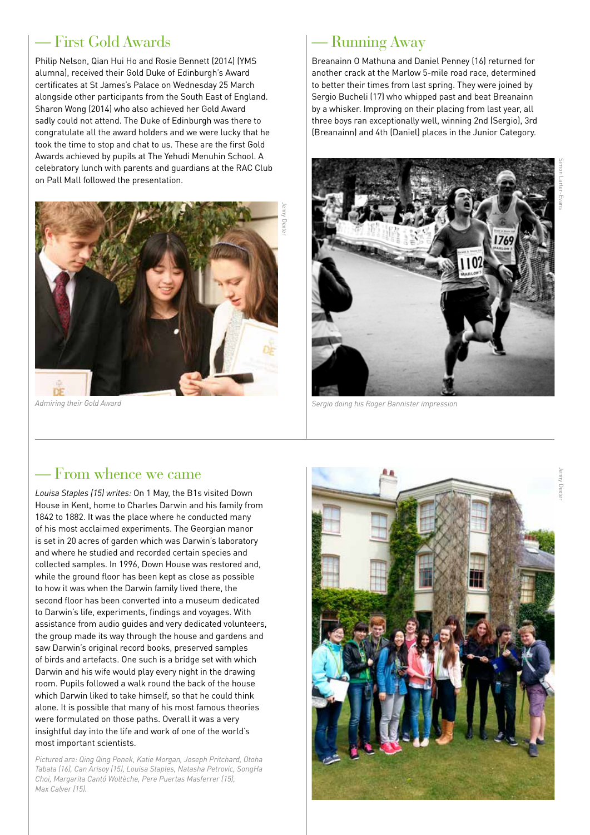#### — First Gold Awards

Philip Nelson, Qian Hui Ho and Rosie Bennett (2014) (YMS alumna), received their Gold Duke of Edinburgh's Award certificates at St James's Palace on Wednesday 25 March alongside other participants from the South East of England. Sharon Wong (2014) who also achieved her Gold Award sadly could not attend. The Duke of Edinburgh was there to congratulate all the award holders and we were lucky that he took the time to stop and chat to us. These are the first Gold Awards achieved by pupils at The Yehudi Menuhin School. A celebratory lunch with parents and guardians at the RAC Club on Pall Mall followed the presentation.



*Admiring their Gold Award*

#### — Running Away

Breanainn O Mathuna and Daniel Penney (16) returned for another crack at the Marlow 5-mile road race, determined to better their times from last spring. They were joined by Sergio Bucheli (17) who whipped past and beat Breanainn by a whisker. Improving on their placing from last year, all three boys ran exceptionally well, winning 2nd (Sergio), 3rd (Breanainn) and 4th (Daniel) places in the Junior Category.



*Sergio doing his Roger Bannister impression*

#### — From whence we came

*Louisa Staples (15) writes:* On 1 May, the B1s visited Down House in Kent, home to Charles Darwin and his family from 1842 to 1882. It was the place where he conducted many of his most acclaimed experiments. The Georgian manor is set in 20 acres of garden which was Darwin's laboratory and where he studied and recorded certain species and collected samples. In 1996, Down House was restored and, while the ground floor has been kept as close as possible to how it was when the Darwin family lived there, the second floor has been converted into a museum dedicated to Darwin's life, experiments, findings and voyages. With assistance from audio guides and very dedicated volunteers, the group made its way through the house and gardens and saw Darwin's original record books, preserved samples of birds and artefacts. One such is a bridge set with which Darwin and his wife would play every night in the drawing room. Pupils followed a walk round the back of the house which Darwin liked to take himself, so that he could think alone. It is possible that many of his most famous theories were formulated on those paths. Overall it was a very insightful day into the life and work of one of the world's most important scientists.

*Pictured are: Qing Qing Ponek, Katie Morgan, Joseph Pritchard, Otoha Tabata (16), Can Arisoy (15), Louisa Staples, Natasha Petrovic, SongHa Choi, Margarita Cantó Woltèche, Pere Puertas Masferrer (15), Max Calver (15).* 

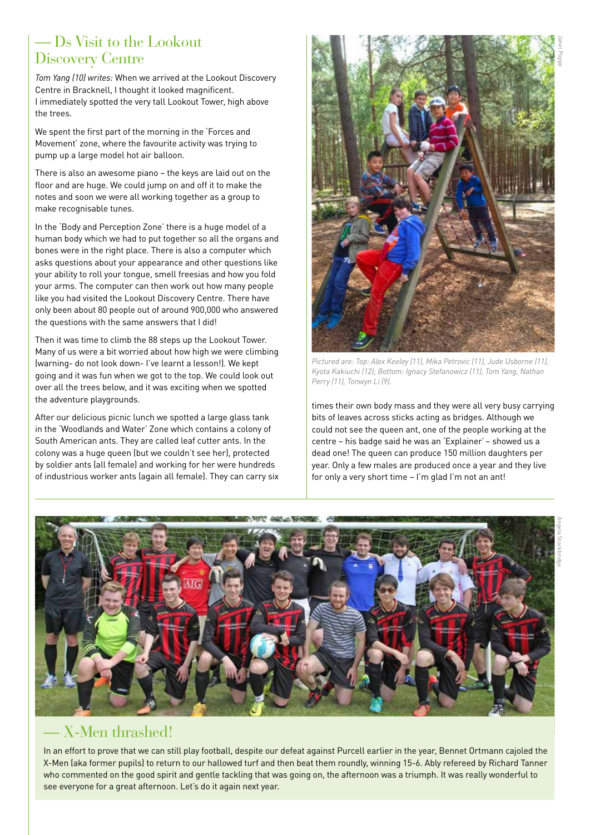#### — Ds Visit to the Lookout Discovery Centre

*Tom Yang (10) writes:* When we arrived at the Lookout Discovery Centre in Bracknell, I thought it looked magnificent. I immediately spotted the very tall Lookout Tower, high above the trees.

We spent the first part of the morning in the 'Forces and Movement' zone, where the favourite activity was trying to pump up a large model hot air balloon.

There is also an awesome piano – the keys are laid out on the floor and are huge. We could jump on and off it to make the notes and soon we were all working together as a group to make recognisable tunes.

In the 'Body and Perception Zone' there is a huge model of a human body which we had to put together so all the organs and bones were in the right place. There is also a computer which asks questions about your appearance and other questions like your ability to roll your tongue, smell freesias and how you fold your arms. The computer can then work out how many people like you had visited the Lookout Discovery Centre. There have only been about 80 people out of around 900,000 who answered the questions with the same answers that I did!

Then it was time to climb the 88 steps up the Lookout Tower. Many of us were a bit worried about how high we were climbing (warning- do not look down- I've learnt a lesson!). We kept going and it was fun when we got to the top. We could look out over all the trees below, and it was exciting when we spotted the adventure playgrounds.

After our delicious picnic lunch we spotted a large glass tank in the 'Woodlands and Water' Zone which contains a colony of South American ants. They are called leaf cutter ants. In the colony was a huge queen (but we couldn't see her), protected by soldier ants (all female) and working for her were hundreds of industrious worker ants (again all female). They can carry six



*Pictured are: Top: Alex Keeley (11), Mika Petrovic (11), Jude Usborne (11), Kyota Kakiuchi (12); Bottom: Ignacy Stefanowicz (11), Tom Yang, Nathan Perry (11), Tonwyn Li (9).* 

times their own body mass and they were all very busy carrying bits of leaves across sticks acting as bridges. Although we could not see the queen ant, one of the people working at the centre – his badge said he was an 'Explainer' – showed us a dead one! The queen can produce 150 million daughters per year. Only a few males are produced once a year and they live for only a very short time – I'm glad I'm not an ant!



#### — X-Men thrashed!

In an effort to prove that we can still play football, despite our defeat against Purcell earlier in the year, Bennet Ortmann cajoled the X-Men (aka former pupils) to return to our hallowed turf and then beat them roundly, winning 15-6. Ably refereed by Richard Tanner who commented on the good spirit and gentle tackling that was going on, the afternoon was a triumph. It was really wonderful to see everyone for a great afternoon. Let's do it again next year.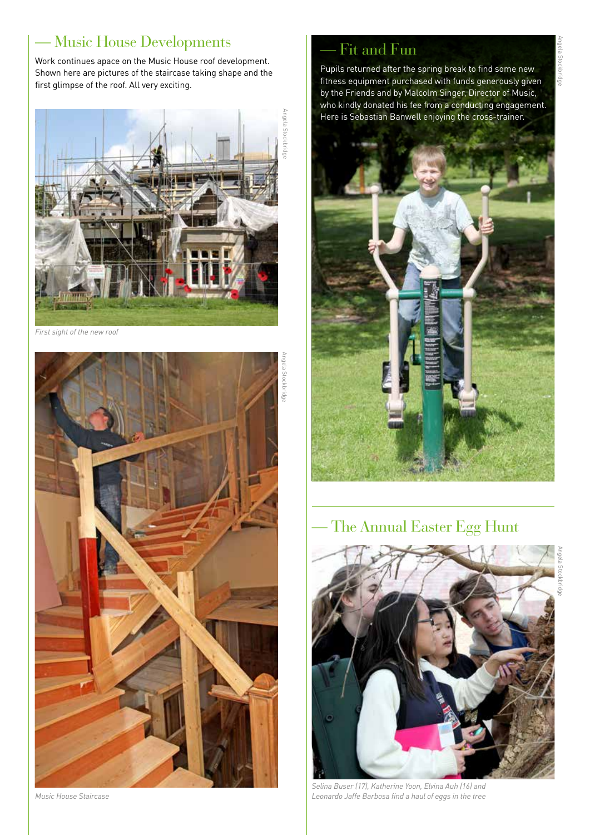#### — Music House Developments

Work continues apace on the Music House roof development. Shown here are pictures of the staircase taking shape and the first glimpse of the roof. All very exciting.



*First sight of the new roof*



*Music House Staircase*

### Fit and Fun

Pupils returned after the spring break to find some new fitness equipment purchased with funds generously given by the Friends and by Malcolm Singer, Director of Music, who kindly donated his fee from a conducting engagement. Here is Sebastian Banwell enjoying the cross-trainer.



— The Annual Easter Egg Hunt



*Selina Buser (17), Katherine Yoon, Elvina Auh (16) and Leonardo Jaffe Barbosa find a haul of eggs in the tree*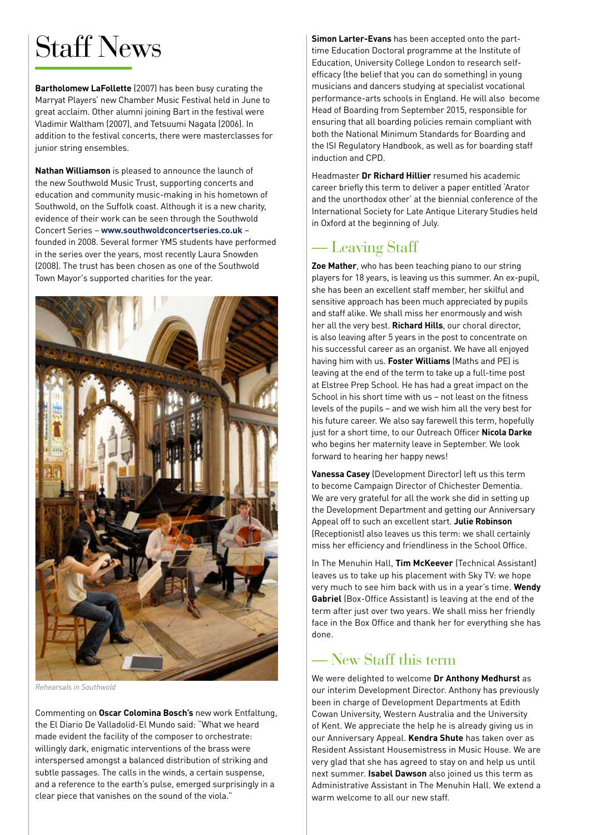## Staff News

**Bartholomew LaFollette** (2007) has been busy curating the Marryat Players' new Chamber Music Festival held in June to great acclaim. Other alumni joining Bart in the festival were Vladimir Waltham (2007), and Tetsuumi Nagata (2006). In addition to the festival concerts, there were masterclasses for junior string ensembles.

**Nathan Williamson** is pleased to announce the launch of the new Southwold Music Trust, supporting concerts and education and community music-making in his hometown of Southwold, on the Suffolk coast. Although it is a new charity, evidence of their work can be seen through the Southwold Concert Series – **[www.southwoldconcertseries.co.uk](http://www.southwoldconcertseries.co.uk)** – founded in 2008. Several former YMS students have performed in the series over the years, most recently Laura Snowden (2008). The trust has been chosen as one of the Southwold Town Mayor's supported charities for the year.



*Rehearsals in Southwold*

Commenting on **Oscar Colomina Bosch's** new work Entfaltung, the El Diario De Valladolid-El Mundo said: "What we heard made evident the facility of the composer to orchestrate: willingly dark, enigmatic interventions of the brass were interspersed amongst a balanced distribution of striking and subtle passages. The calls in the winds, a certain suspense, and a reference to the earth's pulse, emerged surprisingly in a clear piece that vanishes on the sound of the viola."

**Simon Larter-Evans** has been accepted onto the parttime Education Doctoral programme at the Institute of Education, University College London to research selfefficacy (the belief that you can do something) in young musicians and dancers studying at specialist vocational performance-arts schools in England. He will also become Head of Boarding from September 2015, responsible for ensuring that all boarding policies remain compliant with both the National Minimum Standards for Boarding and the ISI Regulatory Handbook, as well as for boarding staff induction and CPD.

Headmaster **Dr Richard Hillier** resumed his academic career briefly this term to deliver a paper entitled 'Arator and the unorthodox other' at the biennial conference of the International Society for Late Antique Literary Studies held in Oxford at the beginning of July.

#### — Leaving Staff

**Zoe Mather**, who has been teaching piano to our string players for 18 years, is leaving us this summer. An ex-pupil, she has been an excellent staff member, her skilful and sensitive approach has been much appreciated by pupils and staff alike. We shall miss her enormously and wish her all the very best. **Richard Hills**, our choral director, is also leaving after 5 years in the post to concentrate on his successful career as an organist. We have all enjoyed having him with us. **Foster Williams** (Maths and PE) is leaving at the end of the term to take up a full-time post at Elstree Prep School. He has had a great impact on the School in his short time with us – not least on the fitness levels of the pupils – and we wish him all the very best for his future career. We also say farewell this term, hopefully just for a short time, to our Outreach Officer **Nicola Darke** who begins her maternity leave in September. We look forward to hearing her happy news!

**Vanessa Casey** (Development Director) left us this term to become Campaign Director of Chichester Dementia. We are very grateful for all the work she did in setting up the Development Department and getting our Anniversary Appeal off to such an excellent start. **Julie Robinson** (Receptionist) also leaves us this term: we shall certainly miss her efficiency and friendliness in the School Office.

In The Menuhin Hall, **Tim McKeever** (Technical Assistant) leaves us to take up his placement with Sky TV: we hope very much to see him back with us in a year's time. **Wendy Gabriel** (Box-Office Assistant) is leaving at the end of the term after just over two years. We shall miss her friendly face in the Box Office and thank her for everything she has done.

#### — New Staff this term

We were delighted to welcome **Dr Anthony Medhurst** as our interim Development Director. Anthony has previously been in charge of Development Departments at Edith Cowan University, Western Australia and the University of Kent. We appreciate the help he is already giving us in our Anniversary Appeal. **Kendra Shute** has taken over as Resident Assistant Housemistress in Music House. We are very glad that she has agreed to stay on and help us until next summer. **Isabel Dawson** also joined us this term as Administrative Assistant in The Menuhin Hall. We extend a warm welcome to all our new staff.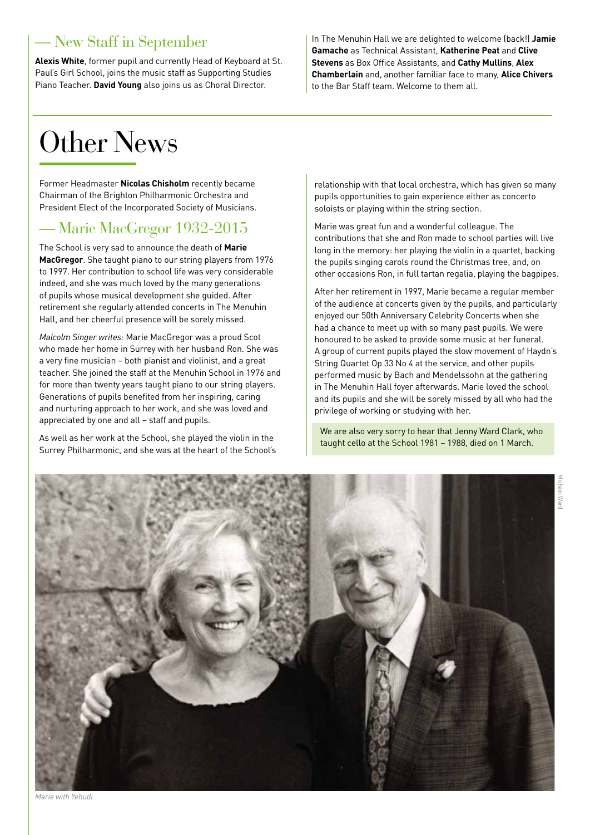#### — New Staff in September

**Alexis White**, former pupil and currently Head of Keyboard at St. Paul's Girl School, joins the music staff as Supporting Studies Piano Teacher. **David Young** also joins us as Choral Director.

In The Menuhin Hall we are delighted to welcome (back!) **Jamie Gamache** as Technical Assistant, **Katherine Peat** and **Clive Stevens** as Box Office Assistants, and **Cathy Mullins**, **Alex Chamberlain** and, another familiar face to many, **Alice Chivers** to the Bar Staff team. Welcome to them all.

## Other News

Former Headmaster **Nicolas Chisholm** recently became Chairman of the Brighton Philharmonic Orchestra and President Elect of the Incorporated Society of Musicians.

#### — Marie MacGregor 1932-2015

The School is very sad to announce the death of **Marie MacGregor**. She taught piano to our string players from 1976 to 1997. Her contribution to school life was very considerable indeed, and she was much loved by the many generations of pupils whose musical development she guided. After retirement she regularly attended concerts in The Menuhin Hall, and her cheerful presence will be sorely missed.

*Malcolm Singer writes:* Marie MacGregor was a proud Scot who made her home in Surrey with her husband Ron. She was a very fine musician – both pianist and violinist, and a great teacher. She joined the staff at the Menuhin School in 1976 and for more than twenty years taught piano to our string players. Generations of pupils benefited from her inspiring, caring and nurturing approach to her work, and she was loved and appreciated by one and all – staff and pupils.

As well as her work at the School, she played the violin in the Surrey Philharmonic, and she was at the heart of the School's relationship with that local orchestra, which has given so many pupils opportunities to gain experience either as concerto soloists or playing within the string section.

Marie was great fun and a wonderful colleague. The contributions that she and Ron made to school parties will live long in the memory: her playing the violin in a quartet, backing the pupils singing carols round the Christmas tree, and, on other occasions Ron, in full tartan regalia, playing the bagpipes.

After her retirement in 1997, Marie became a regular member of the audience at concerts given by the pupils, and particularly enjoyed our 50th Anniversary Celebrity Concerts when she had a chance to meet up with so many past pupils. We were honoured to be asked to provide some music at her funeral. A group of current pupils played the slow movement of Haydn's String Quartet Op 33 No 4 at the service, and other pupils performed music by Bach and Mendelssohn at the gathering in The Menuhin Hall foyer afterwards. Marie loved the school and its pupils and she will be sorely missed by all who had the privilege of working or studying with her.

We are also very sorry to hear that Jenny Ward Clark, who taught cello at the School 1981 – 1988, died on 1 March.

Michael Ward

**Marc** 



*Marie with Yehudi*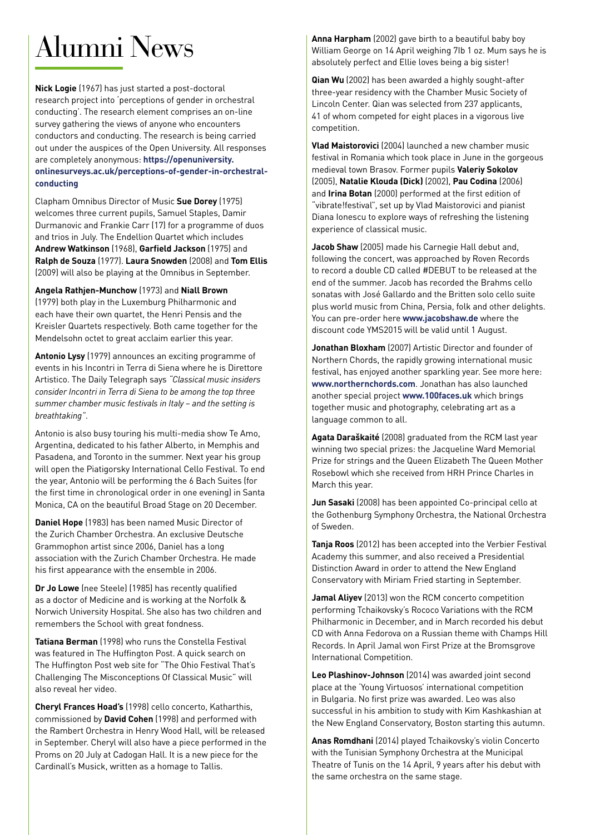## Alumni News

**Nick Logie** (1967) has just started a post-doctoral research project into 'perceptions of gender in orchestral conducting'. The research element comprises an on-line survey gathering the views of anyone who encounters conductors and conducting. The research is being carried out under the auspices of the Open University. All responses are completely anonymous: **[https://openuniversity.](https://openuniversity.onlinesurveys.ac.uk/perceptions-of-gender-in-orchestral-conducting) [onlinesurveys.ac.uk/perceptions-of-gender-in-orchestral](https://openuniversity.onlinesurveys.ac.uk/perceptions-of-gender-in-orchestral-conducting)[conducting](https://openuniversity.onlinesurveys.ac.uk/perceptions-of-gender-in-orchestral-conducting)**

Clapham Omnibus Director of Music **Sue Dorey** (1975) welcomes three current pupils, Samuel Staples, Damir Durmanovic and Frankie Carr (17) for a programme of duos and trios in July. The Endellion Quartet which includes **Andrew Watkinson** (1968), **Garfield Jackson** (1975) and **Ralph de Souza** (1977). **Laura Snowden** (2008) and **Tom Ellis** (2009) will also be playing at the Omnibus in September.

#### **Angela Rathjen-Munchow** (1973) and **Niall Brown**

(1979) both play in the Luxemburg Philharmonic and each have their own quartet, the Henri Pensis and the Kreisler Quartets respectively. Both came together for the Mendelsohn octet to great acclaim earlier this year.

**Antonio Lysy** (1979) announces an exciting programme of events in his Incontri in Terra di Siena where he is Direttore Artistico. The Daily Telegraph says *"Classical music insiders consider Incontri in Terra di Siena to be among the top three summer chamber music festivals in Italy – and the setting is breathtaking"*.

Antonio is also busy touring his multi-media show Te Amo, Argentina, dedicated to his father Alberto, in Memphis and Pasadena, and Toronto in the summer. Next year his group will open the Piatigorsky International Cello Festival. To end the year, Antonio will be performing the 6 Bach Suites (for the first time in chronological order in one evening) in Santa Monica, CA on the beautiful Broad Stage on 20 December.

**Daniel Hope** (1983) has been named Music Director of the Zurich Chamber Orchestra. An exclusive Deutsche Grammophon artist since 2006, Daniel has a long association with the Zurich Chamber Orchestra. He made his first appearance with the ensemble in 2006.

**Dr Jo Lowe** (nee Steele) (1985) has recently qualified as a doctor of Medicine and is working at the Norfolk & Norwich University Hospital. She also has two children and remembers the School with great fondness.

**Tatiana Berman** (1998) who runs the Constella Festival was featured in The Huffington Post. A quick search on The Huffington Post web site for "The Ohio Festival That's Challenging The Misconceptions Of Classical Music" will also reveal her video.

**Cheryl Frances Hoad's** (1998) cello concerto, Katharthis, commissioned by **David Cohen** (1998) and performed with the Rambert Orchestra in Henry Wood Hall, will be released in September. Cheryl will also have a piece performed in the Proms on 20 July at Cadogan Hall. It is a new piece for the Cardinall's Musick, written as a homage to Tallis.

**[Anna Harpham](https://www.facebook.com/anna.harpham?fref=photo)** (2002) gave birth to a beautiful baby boy William George on 14 April weighing 7Ib 1 oz. Mum says he is absolutely perfect and Ellie loves being a big sister!

**Qian Wu** (2002) has been awarded a highly sought-after three-year residency with the Chamber Music Society of Lincoln Center. Qian was selected from 237 applicants, 41 of whom competed for eight places in a vigorous live competition.

**Vlad Maistorovici** (2004) launched a new chamber music festival in Romania which took place in June in the gorgeous medieval town Brasov. Former pupils **Valeriy Sokolov**  (2005), **Natalie Klouda (Dick)** (2002), **Pau Codina** (2006) and **Irina Botan** (2000) performed at the first edition of "vibrate!festival", set up by Vlad Maistorovici and pianist Diana Ionescu to explore ways of refreshing the listening experience of classical music.

**Jacob Shaw** (2005) made his Carnegie Hall debut and, following the concert, was approached by Roven Records to record a double CD called #DEBUT to be released at the end of the summer. Jacob has recorded the Brahms cello sonatas with José Gallardo and the Britten solo cello suite plus world music from China, Persia, folk and other delights. You can pre-order here **[www.jacobshaw.de](http://www.jacobshaw.de)** where the discount code YMS2015 will be valid until 1 August.

**Jonathan Bloxham** (2007) Artistic Director and founder of Northern Chords, the rapidly growing international music festival, has enjoyed another sparkling year. See more here: **[www.northernchords.com](http://www.northernchords.com)**. Jonathan has also launched another special project **[www.100faces.uk](http://www.100faces.uk)** which brings together music and photography, celebrating art as a language common to all.

**Agata Daraškaité** (2008) graduated from the RCM last year winning two special prizes: the Jacqueline Ward Memorial Prize for strings and the Queen Elizabeth The Queen Mother Rosebowl which she received from HRH Prince Charles in March this year.

**Jun Sasaki** (2008) has been appointed Co-principal cello at the Gothenburg Symphony Orchestra, the National Orchestra of Sweden.

**Tanja Roos** (2012) has been accepted into the Verbier Festival Academy this summer, and also received a Presidential Distinction Award in order to attend the New England Conservatory with Miriam Fried starting in September.

**Jamal Aliyev** (2013) won the RCM concerto competition performing Tchaikovsky's Rococo Variations with the RCM Philharmonic in December, and in March recorded his debut CD with Anna Fedorova on a Russian theme with Champs Hill Records. In April Jamal won First Prize at the Bromsgrove International Competition.

**Leo Plashinov-Johnson** (2014) was awarded joint second place at the 'Young Virtuosos' international competition in Bulgaria. No first prize was awarded. Leo was also successful in his ambition to study with Kim Kashkashian at the New England Conservatory, Boston starting this autumn.

**Anas Romdhani** (2014) played Tchaikovsky's violin Concerto with the Tunisian Symphony Orchestra at the Municipal Theatre of Tunis on the 14 April, 9 years after his debut with the same orchestra on the same stage.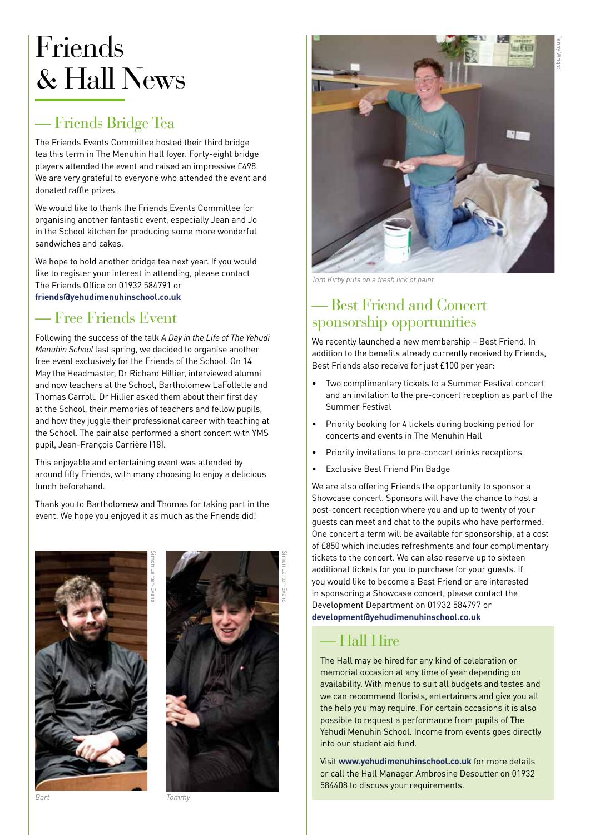### Friends & Hall News

### — Friends Bridge Tea

The Friends Events Committee hosted their third bridge tea this term in The Menuhin Hall foyer. Forty-eight bridge players attended the event and raised an impressive £498. We are very grateful to everyone who attended the event and donated raffle prizes.

We would like to thank the Friends Events Committee for organising another fantastic event, especially Jean and Jo in the School kitchen for producing some more wonderful sandwiches and cakes.

We hope to hold another bridge tea next year. If you would like to register your interest in attending, please contact The Friends Office on 01932 584791 or **[friends@yehudimenuhinschool.co.uk](mailto:friends@yehudimenuhinschool.co.uk)**

#### — Free Friends Event

Following the success of the talk *A Day in the Life of The Yehudi Menuhin School* last spring, we decided to organise another free event exclusively for the Friends of the School. On 14 May the Headmaster, Dr Richard Hillier, interviewed alumni and now teachers at the School, Bartholomew LaFollette and Thomas Carroll. Dr Hillier asked them about their first day at the School, their memories of teachers and fellow pupils, and how they juggle their professional career with teaching at the School. The pair also performed a short concert with YMS pupil, Jean-François Carrière (18).

This enjoyable and entertaining event was attended by around fifty Friends, with many choosing to enjoy a delicious lunch beforehand.

Thank you to Bartholomew and Thomas for taking part in the event. We hope you enjoyed it as much as the Friends did!







*Tom Kirby puts on a fresh lick of paint*

#### — Best Friend and Concert sponsorship opportunities

We recently launched a new membership – Best Friend. In addition to the benefits already currently received by Friends, Best Friends also receive for just £100 per year:

- Two complimentary tickets to a Summer Festival concert and an invitation to the pre-concert reception as part of the Summer Festival
- Priority booking for 4 tickets during booking period for concerts and events in The Menuhin Hall
- Priority invitations to pre-concert drinks receptions
- Exclusive Best Friend Pin Badge

We are also offering Friends the opportunity to sponsor a Showcase concert. Sponsors will have the chance to host a post-concert reception where you and up to twenty of your guests can meet and chat to the pupils who have performed. One concert a term will be available for sponsorship, at a cost of £850 which includes refreshments and four complimentary tickets to the concert. We can also reserve up to sixteen additional tickets for you to purchase for your guests. If you would like to become a Best Friend or are interested in sponsoring a Showcase concert, please contact the Development Department on 01932 584797 or **[development@yehudimenuhinschool.co.uk](mailto:development@yehudimenuhinschool.co.uk)**

#### — Hall Hire

The Hall may be hired for any kind of celebration or memorial occasion at any time of year depending on availability. With menus to suit all budgets and tastes and we can recommend florists, entertainers and give you all the help you may require. For certain occasions it is also possible to request a performance from pupils of The Yehudi Menuhin School. Income from events goes directly into our student aid fund.

Visit **[www.yehudimenuhinschool.co.uk](http://www.yehudimenuhinschool.co.uk)** for more details or call the Hall Manager Ambrosine Desoutter on 01932 584408 to discuss your requirements.

Penny Wright